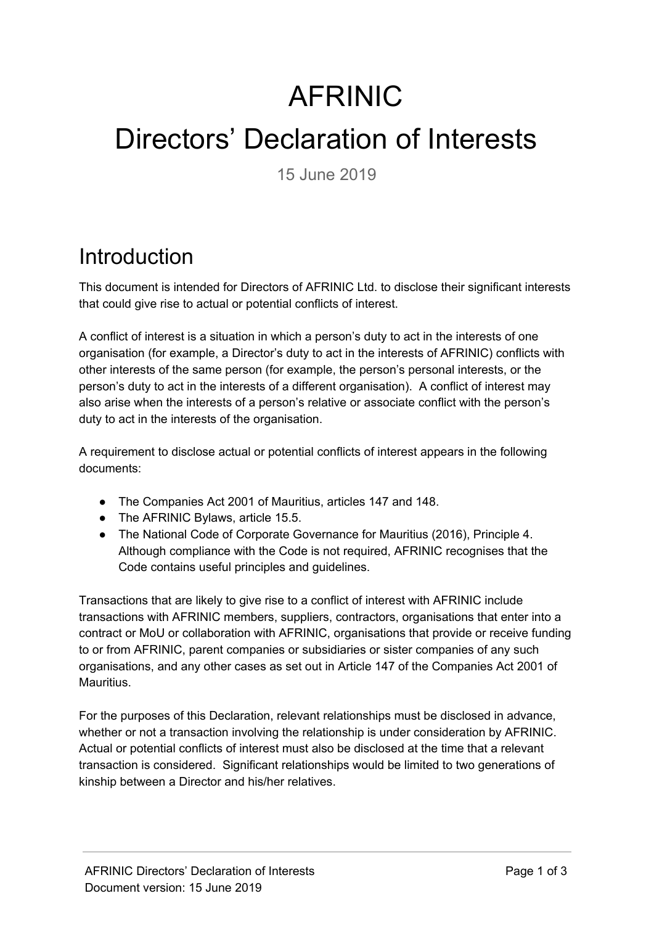# AFRINIC

# Directors' Declaration of Interests

15 June 2019

### Introduction

This document is intended for Directors of AFRINIC Ltd. to disclose their significant interests that could give rise to actual or potential conflicts of interest.

A conflict of interest is a situation in which a person's duty to act in the interests of one organisation (for example, a Director's duty to act in the interests of AFRINIC) conflicts with other interests of the same person (for example, the person's personal interests, or the person's duty to act in the interests of a different organisation). A conflict of interest may also arise when the interests of a person's relative or associate conflict with the person's duty to act in the interests of the organisation.

A requirement to disclose actual or potential conflicts of interest appears in the following documents:

- The Companies Act 2001 of Mauritius, articles 147 and 148.
- The AFRINIC Bylaws, article 15.5.
- The National Code of Corporate Governance for Mauritius (2016), Principle 4. Although compliance with the Code is not required, AFRINIC recognises that the Code contains useful principles and guidelines.

Transactions that are likely to give rise to a conflict of interest with AFRINIC include transactions with AFRINIC members, suppliers, contractors, organisations that enter into a contract or MoU or collaboration with AFRINIC, organisations that provide or receive funding to or from AFRINIC, parent companies or subsidiaries or sister companies of any such organisations, and any other cases as set out in Article 147 of the Companies Act 2001 of Mauritius.

For the purposes of this Declaration, relevant relationships must be disclosed in advance, whether or not a transaction involving the relationship is under consideration by AFRINIC. Actual or potential conflicts of interest must also be disclosed at the time that a relevant transaction is considered. Significant relationships would be limited to two generations of kinship between a Director and his/her relatives.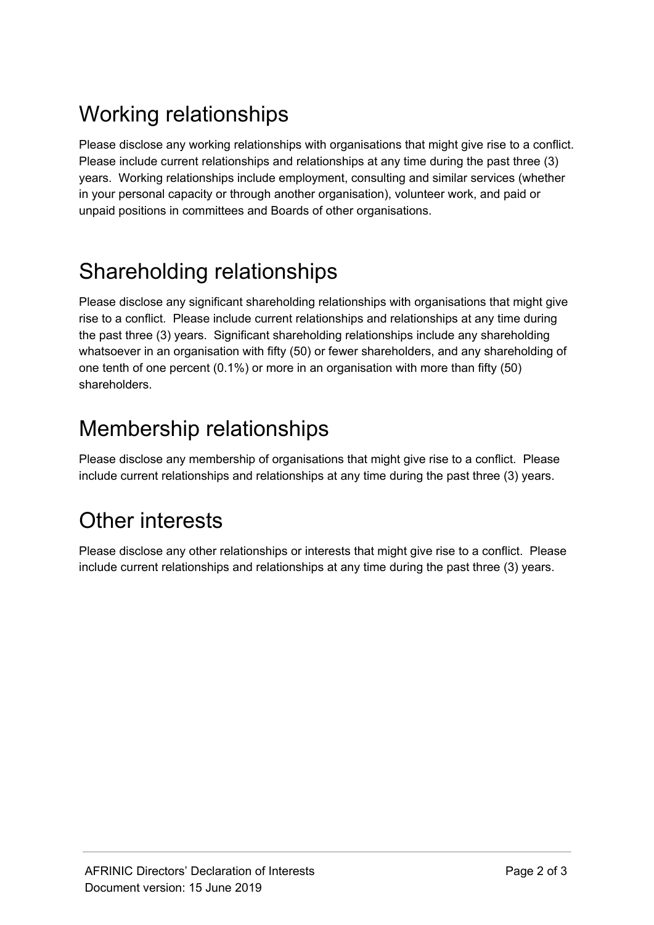## Working relationships

Please disclose any working relationships with organisations that might give rise to a conflict. Please include current relationships and relationships at any time during the past three (3) years. Working relationships include employment, consulting and similar services (whether in your personal capacity or through another organisation), volunteer work, and paid or unpaid positions in committees and Boards of other organisations.

### Shareholding relationships

Please disclose any significant shareholding relationships with organisations that might give rise to a conflict. Please include current relationships and relationships at any time during the past three (3) years. Significant shareholding relationships include any shareholding whatsoever in an organisation with fifty (50) or fewer shareholders, and any shareholding of one tenth of one percent (0.1%) or more in an organisation with more than fifty (50) shareholders.

#### Membership relationships

Please disclose any membership of organisations that might give rise to a conflict. Please include current relationships and relationships at any time during the past three (3) years.

#### Other interests

Please disclose any other relationships or interests that might give rise to a conflict. Please include current relationships and relationships at any time during the past three (3) years.